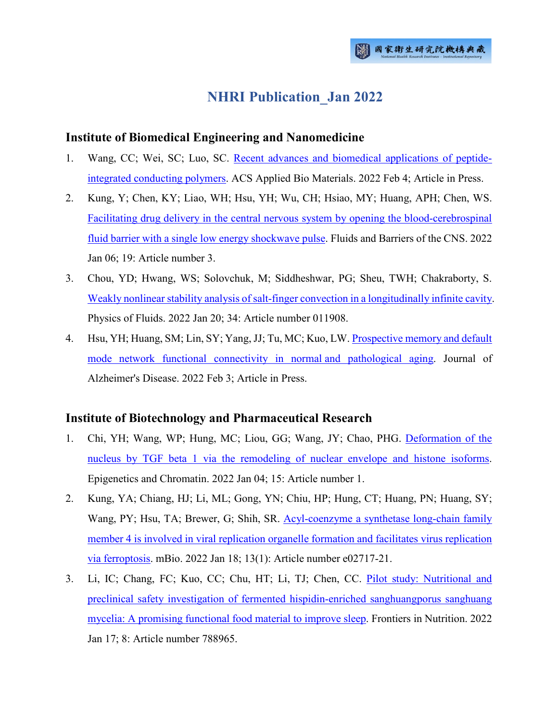# **NHRI Publication\_Jan 2022**

### **Institute of Biomedical Engineering and Nanomedicine**

- 1. Wang, CC; Wei, SC; Luo, SC. [Recent advances and biomedical applications of peptide](http://ir.nhri.edu.tw/handle/3990099045/14014)[integrated conducting polymers.](http://ir.nhri.edu.tw/handle/3990099045/14014) ACS Applied Bio Materials. 2022 Feb 4; Article in Press.
- 2. Kung, Y; Chen, KY; Liao, WH; Hsu, YH; Wu, CH; Hsiao, MY; Huang, APH; Chen, WS. [Facilitating drug delivery in the central nervous system by opening the blood-cerebrospinal](http://ir.nhri.edu.tw/handle/3990099045/14015)  [fluid barrier with a single low energy shockwave pulse.](http://ir.nhri.edu.tw/handle/3990099045/14015) Fluids and Barriers of the CNS. 2022 Jan 06; 19: Article number 3.
- 3. Chou, YD; Hwang, WS; Solovchuk, M; Siddheshwar, PG; Sheu, TWH; Chakraborty, S. [Weakly nonlinear stability analysis of salt-finger convection in a longitudinally infinite cavity.](http://ir.nhri.edu.tw/handle/3990099045/14016) Physics of Fluids. 2022 Jan 20; 34: Article number 011908.
- 4. Hsu, YH; Huang, SM; Lin, SY; Yang, JJ; Tu, MC; Kuo, LW[. Prospective memory and default](http://ir.nhri.edu.tw/handle/3990099045/14018)  [mode network functional connectivity in normal](http://ir.nhri.edu.tw/handle/3990099045/14018) and pathological aging. Journal of Alzheimer's Disease. 2022 Feb 3; Article in Press.

# **Institute of Biotechnology and Pharmaceutical Research**

- 1. Chi, YH; Wang, WP; Hung, MC; Liou, GG; Wang, JY; Chao, PHG. [Deformation of the](http://ir.nhri.edu.tw/handle/3990099045/13953)  [nucleus by TGF beta 1 via the remodeling of nuclear envelope and histone isoforms.](http://ir.nhri.edu.tw/handle/3990099045/13953) Epigenetics and Chromatin. 2022 Jan 04; 15: Article number 1.
- 2. Kung, YA; Chiang, HJ; Li, ML; Gong, YN; Chiu, HP; Hung, CT; Huang, PN; Huang, SY; Wang, PY; Hsu, TA; Brewer, G; Shih, SR. [Acyl-coenzyme a synthetase long-chain family](http://ir.nhri.edu.tw/handle/3990099045/13954)  [member 4 is involved in viral replication organelle formation and facilitates virus replication](http://ir.nhri.edu.tw/handle/3990099045/13954)  [via ferroptosis.](http://ir.nhri.edu.tw/handle/3990099045/13954) mBio. 2022 Jan 18; 13(1): Article number e02717-21.
- 3. Li, IC; Chang, FC; Kuo, CC; Chu, HT; Li, TJ; Chen, CC. [Pilot study: Nutritional and](http://ir.nhri.edu.tw/handle/3990099045/13955)  [preclinical safety investigation of fermented hispidin-enriched sanghuangporus sanghuang](http://ir.nhri.edu.tw/handle/3990099045/13955)  [mycelia: A promising functional food material to improve sleep.](http://ir.nhri.edu.tw/handle/3990099045/13955) Frontiers in Nutrition. 2022 Jan 17; 8: Article number 788965.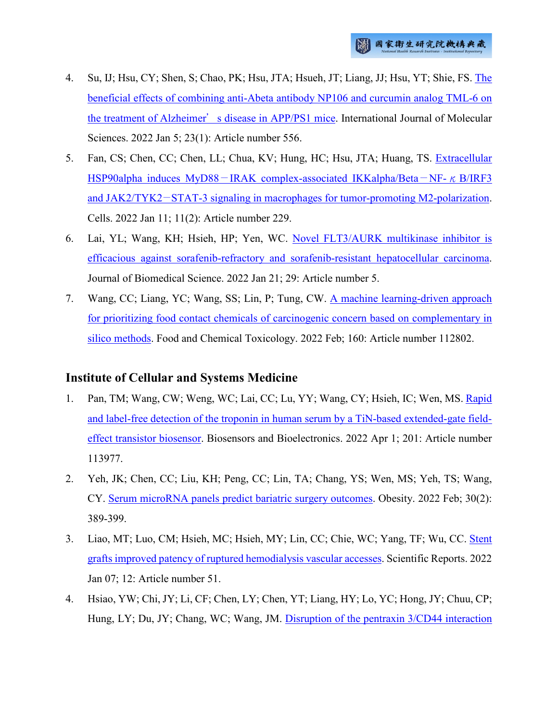- 4. Su, IJ; Hsu, CY; Shen, S; Chao, PK; Hsu, JTA; Hsueh, JT; Liang, JJ; Hsu, YT; Shie, FS. [The](http://ir.nhri.edu.tw/handle/3990099045/13996)  [beneficial effects of combining anti-Abeta antibody NP106 and curcumin analog TML-6 on](http://ir.nhri.edu.tw/handle/3990099045/13996)  the treatment of Alzheimer'[s disease in APP/PS1 mice.](http://ir.nhri.edu.tw/handle/3990099045/13996) International Journal of Molecular Sciences. 2022 Jan 5; 23(1): Article number 556.
- 5. Fan, CS; Chen, CC; Chen, LL; Chua, KV; Hung, HC; Hsu, JTA; Huang, TS. [Extracellular](http://ir.nhri.edu.tw/handle/3990099045/14013)  HSP90alpha induces MyD88−[IRAK complex-associated IKKalpha/Beta](http://ir.nhri.edu.tw/handle/3990099045/14013)−NF-κB/IRF3 and JAK2/TYK2−[STAT-3 signaling in macrophages for tumor-promoting M2-polarization.](http://ir.nhri.edu.tw/handle/3990099045/14013) Cells. 2022 Jan 11; 11(2): Article number 229.
- 6. Lai, YL; Wang, KH; Hsieh, HP; Yen, WC. [Novel FLT3/AURK multikinase inhibitor is](http://ir.nhri.edu.tw/handle/3990099045/14022)  [efficacious against sorafenib-refractory and sorafenib-resistant hepatocellular carcinoma.](http://ir.nhri.edu.tw/handle/3990099045/14022) Journal of Biomedical Science. 2022 Jan 21; 29: Article number 5.
- 7. Wang, CC; Liang, YC; Wang, SS; Lin, P; Tung, CW. [A machine learning-driven approach](http://ir.nhri.edu.tw/handle/3990099045/14025)  [for prioritizing food contact chemicals of carcinogenic concern based on complementary in](http://ir.nhri.edu.tw/handle/3990099045/14025)  [silico methods.](http://ir.nhri.edu.tw/handle/3990099045/14025) Food and Chemical Toxicology. 2022 Feb; 160: Article number 112802.

# **Institute of Cellular and Systems Medicine**

- 1. Pan, TM; Wang, CW; Weng, WC; Lai, CC; Lu, YY; Wang, CY; Hsieh, IC; Wen, MS. [Rapid](http://ir.nhri.edu.tw/handle/3990099045/13962)  [and label-free detection of the troponin in human serum by a TiN-based extended-gate field](http://ir.nhri.edu.tw/handle/3990099045/13962)[effect transistor biosensor.](http://ir.nhri.edu.tw/handle/3990099045/13962) Biosensors and Bioelectronics. 2022 Apr 1; 201: Article number 113977.
- 2. Yeh, JK; Chen, CC; Liu, KH; Peng, CC; Lin, TA; Chang, YS; Wen, MS; Yeh, TS; Wang, CY. [Serum microRNA panels predict bariatric surgery](http://ir.nhri.edu.tw/handle/3990099045/13963) outcomes. Obesity. 2022 Feb; 30(2): 389-399.
- 3. Liao, MT; Luo, CM; Hsieh, MC; Hsieh, MY; Lin, CC; Chie, WC; Yang, TF; Wu, CC. [Stent](http://ir.nhri.edu.tw/handle/3990099045/13964)  [grafts improved patency of ruptured hemodialysis vascular accesses.](http://ir.nhri.edu.tw/handle/3990099045/13964) Scientific Reports. 2022 Jan 07; 12: Article number 51.
- 4. Hsiao, YW; Chi, JY; Li, CF; Chen, LY; Chen, YT; Liang, HY; Lo, YC; Hong, JY; Chuu, CP; Hung, LY; Du, JY; Chang, WC; Wang, JM. [Disruption of the pentraxin 3/CD44 interaction](http://ir.nhri.edu.tw/handle/3990099045/13966)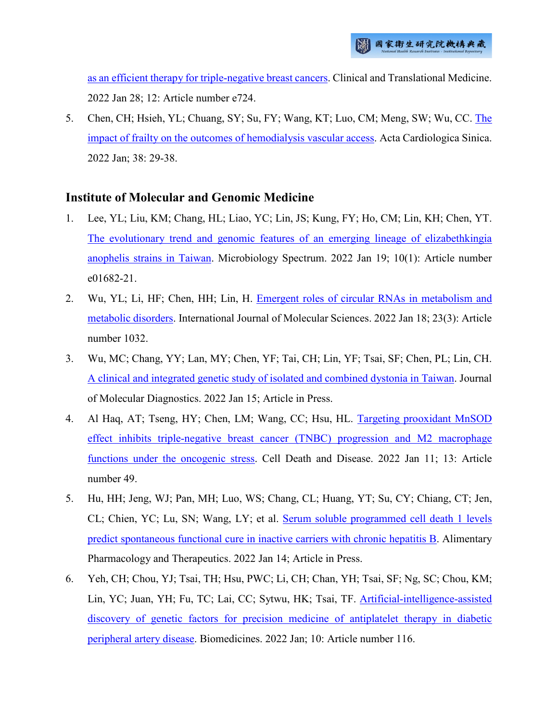[as an efficient therapy for triple-negative breast cancers.](http://ir.nhri.edu.tw/handle/3990099045/13966) Clinical and Translational Medicine. 2022 Jan 28; 12: Article number e724.

5. Chen, CH; Hsieh, YL; Chuang, SY; Su, FY; Wang, KT; Luo, CM; Meng, SW; Wu, CC. [The](http://ir.nhri.edu.tw/handle/3990099045/13992)  [impact of frailty on the outcomes of hemodialysis vascular access.](http://ir.nhri.edu.tw/handle/3990099045/13992) Acta Cardiologica Sinica. 2022 Jan; 38: 29-38.

### **Institute of Molecular and Genomic Medicine**

- 1. Lee, YL; Liu, KM; Chang, HL; Liao, YC; Lin, JS; Kung, FY; Ho, CM; Lin, KH; Chen, YT. [The evolutionary trend and genomic features of an emerging lineage of elizabethkingia](http://ir.nhri.edu.tw/handle/3990099045/13947)  [anophelis strains in Taiwan.](http://ir.nhri.edu.tw/handle/3990099045/13947) Microbiology Spectrum. 2022 Jan 19; 10(1): Article number e01682-21.
- 2. Wu, YL; Li, HF; Chen, HH; Lin, H. [Emergent roles of circular RNAs in metabolism and](http://ir.nhri.edu.tw/handle/3990099045/13948)  [metabolic disorders.](http://ir.nhri.edu.tw/handle/3990099045/13948) International Journal of Molecular Sciences. 2022 Jan 18; 23(3): Article number 1032.
- 3. Wu, MC; Chang, YY; Lan, MY; Chen, YF; Tai, CH; Lin, YF; Tsai, SF; Chen, PL; Lin, CH. [A clinical and integrated genetic study of isolated and combined dystonia in Taiwan.](http://ir.nhri.edu.tw/handle/3990099045/13949) Journal of Molecular Diagnostics. 2022 Jan 15; Article in Press.
- 4. Al Haq, AT; Tseng, HY; Chen, LM; Wang, CC; Hsu, HL. [Targeting prooxidant MnSOD](http://ir.nhri.edu.tw/handle/3990099045/13950)  [effect inhibits triple-negative breast cancer \(TNBC\) progression and M2 macrophage](http://ir.nhri.edu.tw/handle/3990099045/13950)  [functions under the oncogenic stress.](http://ir.nhri.edu.tw/handle/3990099045/13950) Cell Death and Disease. 2022 Jan 11; 13: Article number 49.
- 5. Hu, HH; Jeng, WJ; Pan, MH; Luo, WS; Chang, CL; Huang, YT; Su, CY; Chiang, CT; Jen, CL; Chien, YC; Lu, SN; Wang, LY; et al. [Serum soluble programmed cell death 1 levels](http://ir.nhri.edu.tw/handle/3990099045/13951)  [predict spontaneous functional cure in inactive carriers with chronic hepatitis B.](http://ir.nhri.edu.tw/handle/3990099045/13951) Alimentary Pharmacology and Therapeutics. 2022 Jan 14; Article in Press.
- 6. Yeh, CH; Chou, YJ; Tsai, TH; Hsu, PWC; Li, CH; Chan, YH; Tsai, SF; Ng, SC; Chou, KM; Lin, YC; Juan, YH; Fu, TC; Lai, CC; Sytwu, HK; Tsai, TF. [Artificial-intelligence-assisted](http://ir.nhri.edu.tw/handle/3990099045/13952)  [discovery of genetic factors for precision medicine of antiplatelet therapy in diabetic](http://ir.nhri.edu.tw/handle/3990099045/13952)  [peripheral artery disease.](http://ir.nhri.edu.tw/handle/3990099045/13952) Biomedicines. 2022 Jan; 10: Article number 116.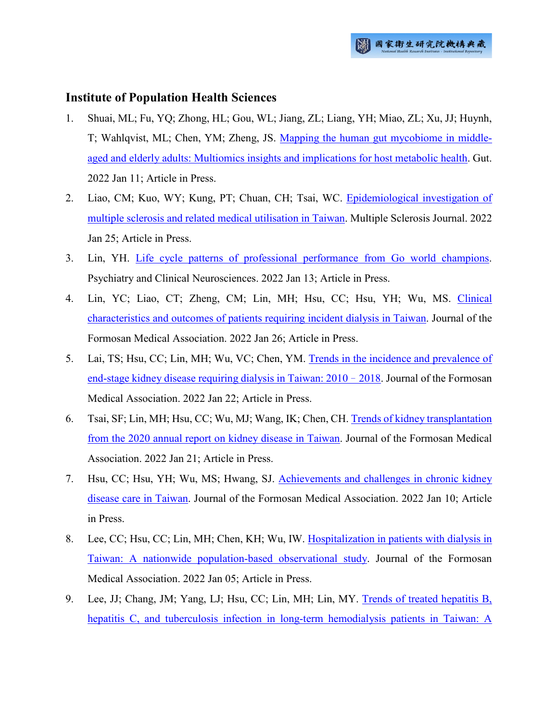#### **Institute of Population Health Sciences**

- 1. Shuai, ML; Fu, YQ; Zhong, HL; Gou, WL; Jiang, ZL; Liang, YH; Miao, ZL; Xu, JJ; Huynh, T; Wahlqvist, ML; Chen, YM; Zheng, JS. [Mapping the human gut mycobiome in middle](http://ir.nhri.edu.tw/handle/3990099045/13972)[aged and elderly adults: Multiomics insights and implications for host metabolic health.](http://ir.nhri.edu.tw/handle/3990099045/13972) Gut. 2022 Jan 11; Article in Press.
- 2. Liao, CM; Kuo, WY; Kung, PT; Chuan, CH; Tsai, WC. [Epidemiological investigation of](http://ir.nhri.edu.tw/handle/3990099045/13973)  [multiple sclerosis and related medical utilisation in Taiwan.](http://ir.nhri.edu.tw/handle/3990099045/13973) Multiple Sclerosis Journal. 2022 Jan 25; Article in Press.
- 3. Lin, YH. [Life cycle patterns of professional performance from Go world champions.](http://ir.nhri.edu.tw/handle/3990099045/13974) Psychiatry and Clinical Neurosciences. 2022 Jan 13; Article in Press.
- 4. Lin, YC; Liao, CT; Zheng, CM; Lin, MH; Hsu, CC; Hsu, YH; Wu, MS. [Clinical](http://ir.nhri.edu.tw/handle/3990099045/13975)  [characteristics and outcomes of patients requiring incident dialysis in Taiwan.](http://ir.nhri.edu.tw/handle/3990099045/13975) Journal of the Formosan Medical Association. 2022 Jan 26; Article in Press.
- 5. Lai, TS; Hsu, CC; Lin, MH; Wu, VC; Chen, YM. [Trends in the incidence and prevalence of](http://ir.nhri.edu.tw/handle/3990099045/13976)  [end-stage kidney disease requiring dialysis in Taiwan: 2010](http://ir.nhri.edu.tw/handle/3990099045/13976)–2018. Journal of the Formosan Medical Association. 2022 Jan 22; Article in Press.
- 6. Tsai, SF; Lin, MH; Hsu, CC; Wu, MJ; Wang, IK; Chen, CH. [Trends of kidney transplantation](http://ir.nhri.edu.tw/handle/3990099045/13977)  [from the 2020 annual report on kidney disease in Taiwan.](http://ir.nhri.edu.tw/handle/3990099045/13977) Journal of the Formosan Medical Association. 2022 Jan 21; Article in Press.
- 7. Hsu, CC; Hsu, YH; Wu, MS; Hwang, SJ. [Achievements and challenges in chronic kidney](http://ir.nhri.edu.tw/handle/3990099045/13978)  [disease care in Taiwan.](http://ir.nhri.edu.tw/handle/3990099045/13978) Journal of the Formosan Medical Association. 2022 Jan 10; Article in Press.
- 8. Lee, CC; Hsu, CC; Lin, MH; Chen, KH; Wu, IW. [Hospitalization in patients with dialysis in](http://ir.nhri.edu.tw/handle/3990099045/13979)  [Taiwan: A nationwide population-based observational study.](http://ir.nhri.edu.tw/handle/3990099045/13979) Journal of the Formosan Medical Association. 2022 Jan 05; Article in Press.
- 9. Lee, JJ; Chang, JM; Yang, LJ; Hsu, CC; Lin, MH; Lin, MY. [Trends of treated hepatitis B,](http://ir.nhri.edu.tw/handle/3990099045/13980)  [hepatitis C, and tuberculosis infection in long-term hemodialysis patients in Taiwan: A](http://ir.nhri.edu.tw/handle/3990099045/13980)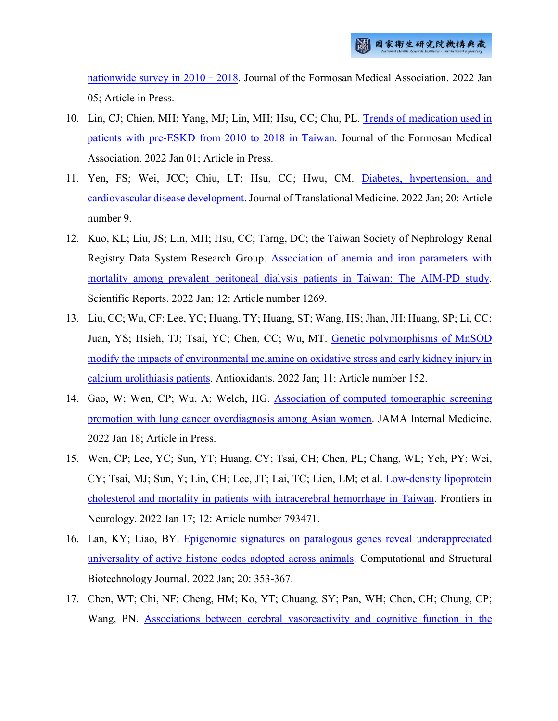[nationwide survey in 2010](http://ir.nhri.edu.tw/handle/3990099045/13980)–2018. Journal of the Formosan Medical Association. 2022 Jan 05; Article in Press.

- 10. Lin, CJ; Chien, MH; Yang, MJ; Lin, MH; Hsu, CC; Chu, PL. [Trends of medication used in](http://ir.nhri.edu.tw/handle/3990099045/13981)  [patients with pre-ESKD from 2010 to 2018 in Taiwan.](http://ir.nhri.edu.tw/handle/3990099045/13981) Journal of the Formosan Medical Association. 2022 Jan 01; Article in Press.
- 11. Yen, FS; Wei, JCC; Chiu, LT; Hsu, CC; Hwu, CM. [Diabetes, hypertension, and](http://ir.nhri.edu.tw/handle/3990099045/13982)  [cardiovascular disease development.](http://ir.nhri.edu.tw/handle/3990099045/13982) Journal of Translational Medicine. 2022 Jan; 20: Article number 9.
- 12. Kuo, KL; Liu, JS; Lin, MH; Hsu, CC; Tarng, DC; the Taiwan Society of Nephrology Renal Registry Data System Research Group. [Association of anemia and iron parameters with](http://ir.nhri.edu.tw/handle/3990099045/13983)  [mortality among prevalent peritoneal dialysis patients in Taiwan: The AIM-PD study.](http://ir.nhri.edu.tw/handle/3990099045/13983) Scientific Reports. 2022 Jan; 12: Article number 1269.
- 13. Liu, CC; Wu, CF; Lee, YC; Huang, TY; Huang, ST; Wang, HS; Jhan, JH; Huang, SP; Li, CC; Juan, YS; Hsieh, TJ; Tsai, YC; Chen, CC; Wu, MT. Genetic polymorphisms of MnSOD [modify the impacts of environmental melamine on oxidative stress and early kidney injury in](http://ir.nhri.edu.tw/handle/3990099045/13986)  [calcium urolithiasis patients.](http://ir.nhri.edu.tw/handle/3990099045/13986) Antioxidants. 2022 Jan; 11: Article number 152.
- 14. Gao, W; Wen, CP; Wu, A; Welch, HG. [Association of computed tomographic screening](http://ir.nhri.edu.tw/handle/3990099045/13987)  [promotion with lung cancer overdiagnosis among Asian women.](http://ir.nhri.edu.tw/handle/3990099045/13987) JAMA Internal Medicine. 2022 Jan 18; Article in Press.
- 15. Wen, CP; Lee, YC; Sun, YT; Huang, CY; Tsai, CH; Chen, PL; Chang, WL; Yeh, PY; Wei, CY; Tsai, MJ; Sun, Y; Lin, CH; Lee, JT; Lai, TC; Lien, LM; et al. [Low-density lipoprotein](http://ir.nhri.edu.tw/handle/3990099045/13988)  [cholesterol and mortality in patients with intracerebral hemorrhage in Taiwan.](http://ir.nhri.edu.tw/handle/3990099045/13988) Frontiers in Neurology. 2022 Jan 17; 12: Article number 793471.
- 16. Lan, KY; Liao, BY. [Epigenomic signatures on paralogous genes reveal underappreciated](http://ir.nhri.edu.tw/handle/3990099045/13989)  [universality of active histone codes adopted across animals.](http://ir.nhri.edu.tw/handle/3990099045/13989) Computational and Structural Biotechnology Journal. 2022 Jan; 20: 353-367.
- 17. Chen, WT; Chi, NF; Cheng, HM; Ko, YT; Chuang, SY; Pan, WH; Chen, CH; Chung, CP; Wang, PN. [Associations between cerebral vasoreactivity and cognitive function](http://ir.nhri.edu.tw/handle/3990099045/13990) in the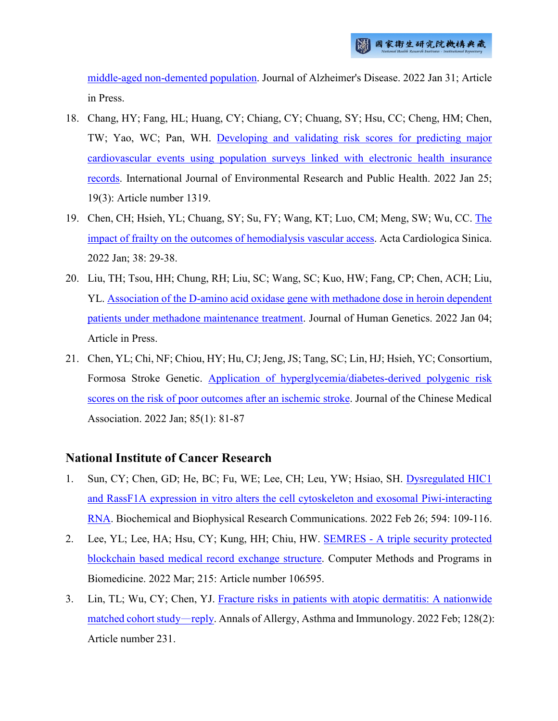[middle-aged non-demented population.](http://ir.nhri.edu.tw/handle/3990099045/13990) Journal of Alzheimer's Disease. 2022 Jan 31; Article in Press.

- 18. Chang, HY; Fang, HL; Huang, CY; Chiang, CY; Chuang, SY; Hsu, CC; Cheng, HM; Chen, TW; Yao, WC; Pan, WH. [Developing and validating risk scores for predicting major](http://ir.nhri.edu.tw/handle/3990099045/13991)  [cardiovascular events using population surveys linked with electronic health insurance](http://ir.nhri.edu.tw/handle/3990099045/13991)  [records.](http://ir.nhri.edu.tw/handle/3990099045/13991) International Journal of Environmental Research and Public Health. 2022 Jan 25; 19(3): Article number 1319.
- 19. Chen, CH; Hsieh, YL; Chuang, SY; Su, FY; Wang, KT; Luo, CM; Meng, SW; Wu, CC. [The](http://ir.nhri.edu.tw/handle/3990099045/13992)  [impact of frailty on the outcomes of hemodialysis vascular access.](http://ir.nhri.edu.tw/handle/3990099045/13992) Acta Cardiologica Sinica. 2022 Jan; 38: 29-38.
- 20. Liu, TH; Tsou, HH; Chung, RH; Liu, SC; Wang, SC; Kuo, HW; Fang, CP; Chen, ACH; Liu, YL. [Association of the D-amino acid oxidase gene with methadone dose in heroin dependent](http://ir.nhri.edu.tw/handle/3990099045/13997)  [patients under methadone maintenance treatment.](http://ir.nhri.edu.tw/handle/3990099045/13997) Journal of Human Genetics. 2022 Jan 04; Article in Press.
- 21. Chen, YL; Chi, NF; Chiou, HY; Hu, CJ; Jeng, JS; Tang, SC; Lin, HJ; Hsieh, YC; Consortium, Formosa Stroke Genetic. [Application of hyperglycemia/diabetes-derived polygenic risk](http://ir.nhri.edu.tw/handle/3990099045/14020)  [scores on the risk of poor outcomes after an ischemic stroke.](http://ir.nhri.edu.tw/handle/3990099045/14020) Journal of the Chinese Medical Association. 2022 Jan; 85(1): 81-87

### **National Institute of Cancer Research**

- 1. Sun, CY; Chen, GD; He, BC; Fu, WE; Lee, CH; Leu, YW; Hsiao, SH. [Dysregulated HIC1](http://ir.nhri.edu.tw/handle/3990099045/14002)  and RassF1A expression in vitro alters the [cell cytoskeleton and exosomal Piwi-interacting](http://ir.nhri.edu.tw/handle/3990099045/14002)  [RNA.](http://ir.nhri.edu.tw/handle/3990099045/14002) Biochemical and Biophysical Research Communications. 2022 Feb 26; 594: 109-116.
- 2. Lee, YL; Lee, HA; Hsu, CY; Kung, HH; Chiu, HW. SEMRES [A triple security protected](http://ir.nhri.edu.tw/handle/3990099045/14003)  [blockchain based medical record exchange structure.](http://ir.nhri.edu.tw/handle/3990099045/14003) Computer Methods and Programs in Biomedicine. 2022 Mar; 215: Article number 106595.
- 3. Lin, TL; Wu, CY; Chen, YJ. [Fracture risks in patients with atopic dermatitis: A nationwide](http://ir.nhri.edu.tw/handle/3990099045/14004)  [matched cohort study](http://ir.nhri.edu.tw/handle/3990099045/14004)—reply. Annals of Allergy, Asthma and Immunology. 2022 Feb; 128(2): Article number 231.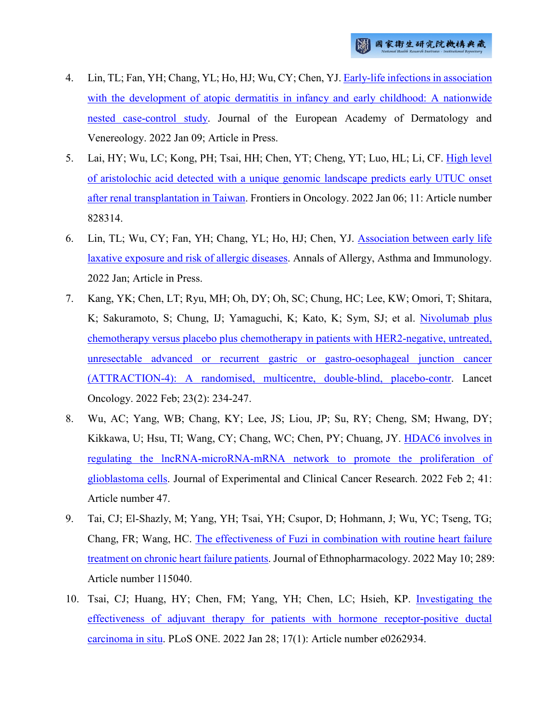- 4. Lin, TL; Fan, YH; Chang, YL; Ho, HJ; Wu, CY; Chen, YJ. [Early-life infections in association](http://ir.nhri.edu.tw/handle/3990099045/14005)  [with the development of atopic dermatitis in infancy and early childhood: A nationwide](http://ir.nhri.edu.tw/handle/3990099045/14005)  [nested case-control study.](http://ir.nhri.edu.tw/handle/3990099045/14005) Journal of the European Academy of Dermatology and Venereology. 2022 Jan 09; Article in Press.
- 5. Lai, HY; Wu, LC; Kong, PH; Tsai, HH; Chen, YT; Cheng, YT; Luo, HL; Li, CF. [High level](http://ir.nhri.edu.tw/handle/3990099045/14006)  [of aristolochic acid detected with a unique genomic landscape predicts early UTUC onset](http://ir.nhri.edu.tw/handle/3990099045/14006)  [after renal transplantation in Taiwan.](http://ir.nhri.edu.tw/handle/3990099045/14006) Frontiers in Oncology. 2022 Jan 06; 11: Article number 828314.
- 6. Lin, TL; Wu, CY; Fan, YH; Chang, YL; Ho, HJ; Chen, YJ. [Association between early life](http://ir.nhri.edu.tw/handle/3990099045/14007)  [laxative exposure and risk of allergic diseases.](http://ir.nhri.edu.tw/handle/3990099045/14007) Annals of Allergy, Asthma and Immunology. 2022 Jan; Article in Press.
- 7. Kang, YK; Chen, LT; Ryu, MH; Oh, DY; Oh, SC; Chung, HC; Lee, KW; Omori, T; Shitara, K; Sakuramoto, S; Chung, IJ; Yamaguchi, K; Kato, K; Sym, SJ; et al. [Nivolumab plus](http://ir.nhri.edu.tw/handle/3990099045/14008)  [chemotherapy versus placebo plus chemotherapy in patients with HER2-negative, untreated,](http://ir.nhri.edu.tw/handle/3990099045/14008)  [unresectable advanced or recurrent gastric or gastro-oesophageal junction cancer](http://ir.nhri.edu.tw/handle/3990099045/14008)  [\(ATTRACTION-4\): A randomised, multicentre, double-blind, placebo-contr.](http://ir.nhri.edu.tw/handle/3990099045/14008) Lancet Oncology. 2022 Feb; 23(2): 234-247.
- 8. Wu, AC; Yang, WB; Chang, KY; Lee, JS; Liou, JP; Su, RY; Cheng, SM; Hwang, DY; Kikkawa, U; Hsu, TI; Wang, CY; Chang, WC; Chen, PY; Chuang, JY. [HDAC6 involves in](http://ir.nhri.edu.tw/handle/3990099045/14009)  [regulating the lncRNA-microRNA-mRNA network to promote the proliferation of](http://ir.nhri.edu.tw/handle/3990099045/14009)  [glioblastoma cells.](http://ir.nhri.edu.tw/handle/3990099045/14009) Journal of Experimental and Clinical Cancer Research. 2022 Feb 2; 41: Article number 47.
- 9. Tai, CJ; El-Shazly, M; Yang, YH; Tsai, YH; Csupor, D; Hohmann, J; Wu, YC; Tseng, TG; Chang, FR; Wang, HC. [The effectiveness of Fuzi in combination with routine heart failure](http://ir.nhri.edu.tw/handle/3990099045/14010)  [treatment on chronic heart failure patients.](http://ir.nhri.edu.tw/handle/3990099045/14010) Journal of Ethnopharmacology. 2022 May 10; 289: Article number 115040.
- 10. Tsai, CJ; Huang, HY; Chen, FM; Yang, YH; Chen, LC; Hsieh, KP. [Investigating the](http://ir.nhri.edu.tw/handle/3990099045/14011)  [effectiveness of adjuvant therapy for patients with hormone receptor-positive ductal](http://ir.nhri.edu.tw/handle/3990099045/14011)  [carcinoma in situ.](http://ir.nhri.edu.tw/handle/3990099045/14011) PLoS ONE. 2022 Jan 28; 17(1): Article number e0262934.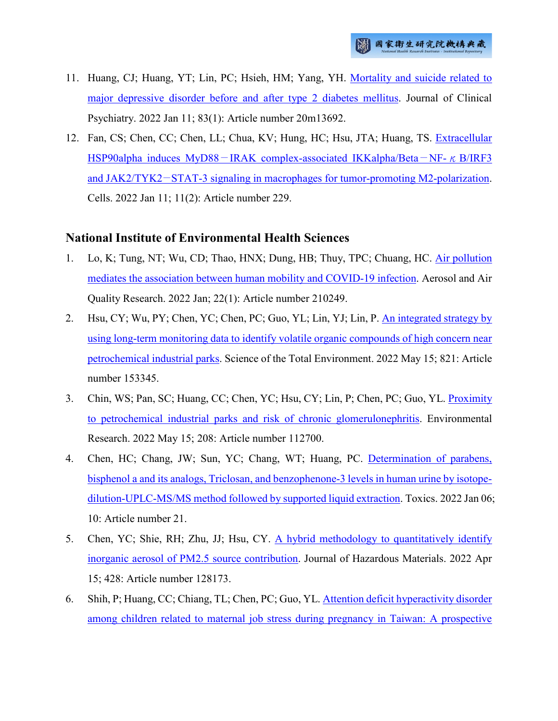- 11. Huang, CJ; Huang, YT; Lin, PC; Hsieh, HM; Yang, YH. [Mortality and suicide related to](http://ir.nhri.edu.tw/handle/3990099045/14012)  [major depressive disorder before and after type 2 diabetes mellitus.](http://ir.nhri.edu.tw/handle/3990099045/14012) Journal of Clinical Psychiatry. 2022 Jan 11; 83(1): Article number 20m13692.
- 12. Fan, CS; Chen, CC; Chen, LL; Chua, KV; Hung, HC; Hsu, JTA; Huang, TS. [Extracellular](http://ir.nhri.edu.tw/handle/3990099045/14013)  HSP90alpha induces MyD88−[IRAK complex-associated IKKalpha/Beta](http://ir.nhri.edu.tw/handle/3990099045/14013)−NF-κB/IRF3 and JAK2/TYK2−[STAT-3 signaling in macrophages for tumor-promoting M2-polarization.](http://ir.nhri.edu.tw/handle/3990099045/14013) Cells. 2022 Jan 11; 11(2): Article number 229.

# **National Institute of Environmental Health Sciences**

- 1. Lo, K; Tung, NT; Wu, CD; Thao, HNX; Dung, HB; Thuy, TPC; Chuang, HC. [Air pollution](http://ir.nhri.edu.tw/handle/3990099045/13998)  [mediates the association between human mobility and COVID-19 infection.](http://ir.nhri.edu.tw/handle/3990099045/13998) Aerosol and Air Quality Research. 2022 Jan; 22(1): Article number 210249.
- 2. Hsu, CY; Wu, PY; Chen, YC; Chen, PC; Guo, YL; Lin, YJ; Lin, P. [An integrated strategy by](http://ir.nhri.edu.tw/handle/3990099045/13999)  [using long-term monitoring data to identify volatile organic compounds of high concern near](http://ir.nhri.edu.tw/handle/3990099045/13999)  [petrochemical industrial parks.](http://ir.nhri.edu.tw/handle/3990099045/13999) Science of the Total Environment. 2022 May 15; 821: Article number 153345.
- 3. Chin, WS; Pan, SC; Huang, CC; Chen, YC; Hsu, CY; Lin, P; Chen, PC; Guo, YL. [Proximity](http://ir.nhri.edu.tw/handle/3990099045/14000)  [to petrochemical industrial parks and risk of chronic glomerulonephritis.](http://ir.nhri.edu.tw/handle/3990099045/14000) Environmental Research. 2022 May 15; 208: Article number 112700.
- 4. Chen, HC; Chang, JW; Sun, YC; Chang, WT; Huang, PC. [Determination of parabens,](http://ir.nhri.edu.tw/handle/3990099045/14001)  [bisphenol a and its analogs, Triclosan, and benzophenone-3 levels in human urine by isotope](http://ir.nhri.edu.tw/handle/3990099045/14001)[dilution-UPLC-MS/MS method followed by supported liquid extraction.](http://ir.nhri.edu.tw/handle/3990099045/14001) Toxics. 2022 Jan 06; 10: Article number 21.
- 5. Chen, YC; Shie, RH; Zhu, JJ; Hsu, CY. [A hybrid methodology to quantitatively identify](http://ir.nhri.edu.tw/handle/3990099045/14021)  [inorganic aerosol of PM2.5 source contribution.](http://ir.nhri.edu.tw/handle/3990099045/14021) Journal of Hazardous Materials. 2022 Apr 15; 428: Article number 128173.
- 6. Shih, P; Huang, CC; Chiang, TL; Chen, PC; Guo, YL. [Attention deficit hyperactivity disorder](http://ir.nhri.edu.tw/handle/3990099045/14024)  [among children related to maternal job stress during pregnancy in Taiwan: A prospective](http://ir.nhri.edu.tw/handle/3990099045/14024)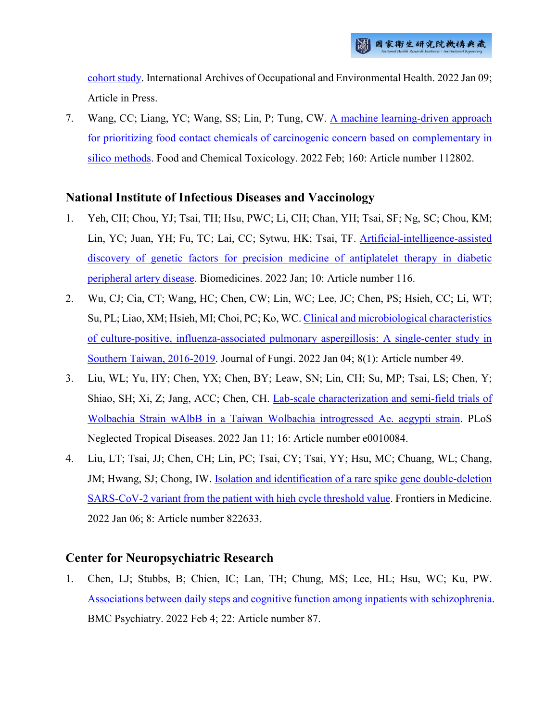[cohort study.](http://ir.nhri.edu.tw/handle/3990099045/14024) International Archives of Occupational and Environmental Health. 2022 Jan 09; Article in Press.

7. Wang, CC; Liang, YC; Wang, SS; Lin, P; Tung, CW. A machine learning-driven approach [for prioritizing food contact chemicals of carcinogenic concern based on complementary in](http://ir.nhri.edu.tw/handle/3990099045/14025)  [silico methods.](http://ir.nhri.edu.tw/handle/3990099045/14025) Food and Chemical Toxicology. 2022 Feb; 160: Article number 112802.

### **National Institute of Infectious Diseases and Vaccinology**

- 1. Yeh, CH; Chou, YJ; Tsai, TH; Hsu, PWC; Li, CH; Chan, YH; Tsai, SF; Ng, SC; Chou, KM; Lin, YC; Juan, YH; Fu, TC; Lai, CC; Sytwu, HK; Tsai, TF. [Artificial-intelligence-assisted](http://ir.nhri.edu.tw/handle/3990099045/13952)  [discovery of genetic factors for precision medicine of antiplatelet therapy in diabetic](http://ir.nhri.edu.tw/handle/3990099045/13952)  [peripheral artery disease.](http://ir.nhri.edu.tw/handle/3990099045/13952) Biomedicines. 2022 Jan; 10: Article number 116.
- 2. Wu, CJ; Cia, CT; Wang, HC; Chen, CW; Lin, WC; Lee, JC; Chen, PS; Hsieh, CC; Li, WT; Su, PL; Liao, XM; Hsieh, MI; Choi, PC; Ko, WC. [Clinical and microbiological characteristics](http://ir.nhri.edu.tw/handle/3990099045/13967)  [of culture-positive, influenza-associated pulmonary aspergillosis: A single-center study in](http://ir.nhri.edu.tw/handle/3990099045/13967)  [Southern Taiwan, 2016-2019.](http://ir.nhri.edu.tw/handle/3990099045/13967) Journal of Fungi. 2022 Jan 04; 8(1): Article number 49.
- 3. Liu, WL; Yu, HY; Chen, YX; Chen, BY; Leaw, SN; Lin, CH; Su, MP; Tsai, LS; Chen, Y; Shiao, SH; Xi, Z; Jang, ACC; Chen, CH. [Lab-scale characterization and semi-field trials of](http://ir.nhri.edu.tw/handle/3990099045/13970)  [Wolbachia Strain wAlbB in a Taiwan Wolbachia introgressed Ae. aegypti strain.](http://ir.nhri.edu.tw/handle/3990099045/13970) PLoS Neglected Tropical Diseases. 2022 Jan 11; 16: Article number e0010084.
- 4. Liu, LT; Tsai, JJ; Chen, CH; Lin, PC; Tsai, CY; Tsai, YY; Hsu, MC; Chuang, WL; Chang, JM; Hwang, SJ; Chong, IW. [Isolation and identification of a rare spike gene double-deletion](http://ir.nhri.edu.tw/handle/3990099045/13971)  [SARS-CoV-2 variant from the patient with high cycle threshold value.](http://ir.nhri.edu.tw/handle/3990099045/13971) Frontiers in Medicine. 2022 Jan 06; 8: Article number 822633.

# **Center for Neuropsychiatric Research**

1. Chen, LJ; Stubbs, B; Chien, IC; Lan, TH; Chung, MS; Lee, HL; Hsu, WC; Ku, PW. [Associations between daily steps and cognitive function among inpatients with schizophrenia.](http://ir.nhri.edu.tw/handle/3990099045/13993) BMC Psychiatry. 2022 Feb 4; 22: Article number 87.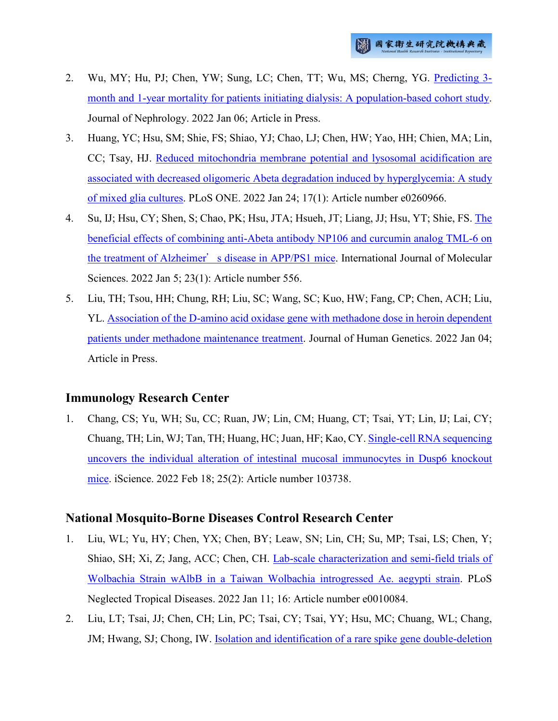- 2. Wu, MY; Hu, PJ; Chen, YW; Sung, LC; Chen, TT; Wu, MS; Cherng, YG. [Predicting 3](http://ir.nhri.edu.tw/handle/3990099045/13994) [month and 1-year mortality for patients initiating dialysis: A population-based cohort study.](http://ir.nhri.edu.tw/handle/3990099045/13994) Journal of Nephrology. 2022 Jan 06; Article in Press.
- 3. Huang, YC; Hsu, SM; Shie, FS; Shiao, YJ; Chao, LJ; Chen, HW; Yao, HH; Chien, MA; Lin, CC; Tsay, HJ. [Reduced mitochondria membrane potential and lysosomal acidification are](http://ir.nhri.edu.tw/handle/3990099045/13995)  [associated with decreased oligomeric Abeta degradation induced by hyperglycemia: A study](http://ir.nhri.edu.tw/handle/3990099045/13995)  [of mixed glia cultures.](http://ir.nhri.edu.tw/handle/3990099045/13995) PLoS ONE. 2022 Jan 24; 17(1): Article number e0260966.
- 4. Su, IJ; Hsu, CY; Shen, S; Chao, PK; Hsu, JTA; Hsueh, JT; Liang, JJ; Hsu, YT; Shie, FS. [The](http://ir.nhri.edu.tw/handle/3990099045/13996)  [beneficial effects of combining anti-Abeta antibody NP106 and curcumin analog TML-6 on](http://ir.nhri.edu.tw/handle/3990099045/13996)  the treatment of Alzheimer'[s disease in APP/PS1 mice.](http://ir.nhri.edu.tw/handle/3990099045/13996) International Journal of Molecular Sciences. 2022 Jan 5; 23(1): Article number 556.
- 5. Liu, TH; Tsou, HH; Chung, RH; Liu, SC; Wang, SC; Kuo, HW; Fang, CP; Chen, ACH; Liu, YL. [Association of the D-amino acid oxidase gene with methadone dose in heroin dependent](http://ir.nhri.edu.tw/handle/3990099045/13997)  [patients under methadone maintenance treatment.](http://ir.nhri.edu.tw/handle/3990099045/13997) Journal of Human Genetics. 2022 Jan 04; Article in Press.

# **Immunology Research Center**

1. Chang, CS; Yu, WH; Su, CC; Ruan, JW; Lin, CM; Huang, CT; Tsai, YT; Lin, IJ; Lai, CY; Chuang, TH; Lin, WJ; Tan, TH; Huang, HC; Juan, HF; Kao, CY. [Single-cell RNA sequencing](http://ir.nhri.edu.tw/handle/3990099045/13959)  [uncovers the individual alteration of intestinal mucosal immunocytes in Dusp6 knockout](http://ir.nhri.edu.tw/handle/3990099045/13959)  [mice.](http://ir.nhri.edu.tw/handle/3990099045/13959) iScience. 2022 Feb 18; 25(2): Article number 103738.

### **National Mosquito-Borne Diseases Control Research Center**

- 1. Liu, WL; Yu, HY; Chen, YX; Chen, BY; Leaw, SN; Lin, CH; Su, MP; Tsai, LS; Chen, Y; Shiao, SH; Xi, Z; Jang, ACC; Chen, CH. [Lab-scale characterization and semi-field trials of](http://ir.nhri.edu.tw/handle/3990099045/13970)  [Wolbachia Strain wAlbB in a Taiwan Wolbachia introgressed Ae. aegypti strain.](http://ir.nhri.edu.tw/handle/3990099045/13970) PLoS Neglected Tropical Diseases. 2022 Jan 11; 16: Article number e0010084.
- 2. Liu, LT; Tsai, JJ; Chen, CH; Lin, PC; Tsai, CY; Tsai, YY; Hsu, MC; Chuang, WL; Chang, JM; Hwang, SJ; Chong, IW. [Isolation and identification of a rare spike gene double-deletion](http://ir.nhri.edu.tw/handle/3990099045/13971)